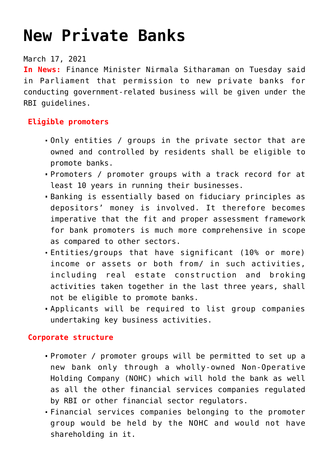# **[New Private Banks](https://journalsofindia.com/schirmacher-oasis-nippon-japan-india-coring-sonic/)**

## March 17, 2021

**In News:** Finance Minister Nirmala Sitharaman on Tuesday said in Parliament that permission to new private banks for conducting government-related business will be given under the RBI guidelines.

## **Eligible promoters**

- Only entities / groups in the private sector that are owned and controlled by residents shall be eligible to promote banks.
- Promoters / promoter groups with a track record for at least 10 years in running their businesses.
- Banking is essentially based on fiduciary principles as depositors' money is involved. It therefore becomes imperative that the fit and proper assessment framework for bank promoters is much more comprehensive in scope as compared to other sectors.
- Entities/groups that have significant (10% or more) income or assets or both from/ in such activities, including real estate construction and broking activities taken together in the last three years, shall not be eligible to promote banks.
- Applicants will be required to list group companies undertaking key business activities.

## **Corporate structure**

- Promoter / promoter groups will be permitted to set up a new bank only through a wholly-owned Non-Operative Holding Company (NOHC) which will hold the bank as well as all the other financial services companies regulated by RBI or other financial sector regulators.
- Financial services companies belonging to the promoter group would be held by the NOHC and would not have shareholding in it.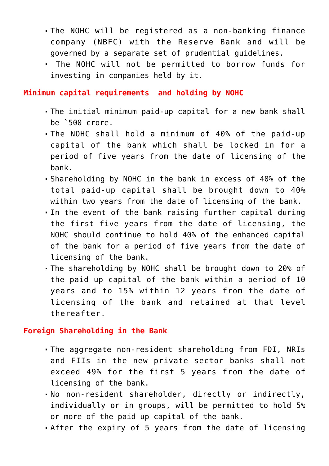- The NOHC will be registered as a non-banking finance company (NBFC) with the Reserve Bank and will be governed by a separate set of prudential guidelines.
- The NOHC will not be permitted to borrow funds for investing in companies held by it.

**Minimum capital requirements and holding by NOHC**

- The initial minimum paid-up capital for a new bank shall be `500 crore.
- The NOHC shall hold a minimum of 40% of the paid-up capital of the bank which shall be locked in for a period of five years from the date of licensing of the bank.
- Shareholding by NOHC in the bank in excess of 40% of the total paid-up capital shall be brought down to 40% within two years from the date of licensing of the bank.
- In the event of the bank raising further capital during the first five years from the date of licensing, the NOHC should continue to hold 40% of the enhanced capital of the bank for a period of five years from the date of licensing of the bank.
- The shareholding by NOHC shall be brought down to 20% of the paid up capital of the bank within a period of 10 years and to 15% within 12 years from the date of licensing of the bank and retained at that level thereafter.

#### **Foreign Shareholding in the Bank**

- The aggregate non-resident shareholding from FDI, NRIs and FIIs in the new private sector banks shall not exceed 49% for the first 5 years from the date of licensing of the bank.
- No non-resident shareholder, directly or indirectly, individually or in groups, will be permitted to hold 5% or more of the paid up capital of the bank.
- After the expiry of 5 years from the date of licensing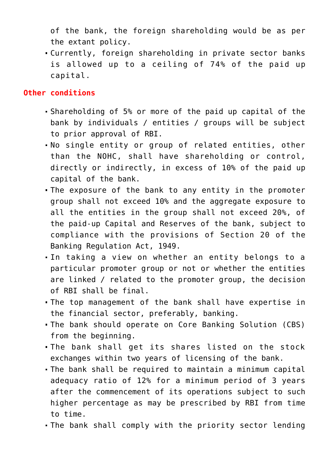of the bank, the foreign shareholding would be as per the extant policy.

Currently, foreign shareholding in private sector banks is allowed up to a ceiling of 74% of the paid up capital.

#### **Other conditions**

- Shareholding of 5% or more of the paid up capital of the bank by individuals / entities / groups will be subject to prior approval of RBI.
- No single entity or group of related entities, other than the NOHC, shall have shareholding or control, directly or indirectly, in excess of 10% of the paid up capital of the bank.
- The exposure of the bank to any entity in the promoter group shall not exceed 10% and the aggregate exposure to all the entities in the group shall not exceed 20%, of the paid-up Capital and Reserves of the bank, subject to compliance with the provisions of Section 20 of the Banking Regulation Act, 1949.
- In taking a view on whether an entity belongs to a particular promoter group or not or whether the entities are linked / related to the promoter group, the decision of RBI shall be final.
- The top management of the bank shall have expertise in the financial sector, preferably, banking.
- The bank should operate on Core Banking Solution (CBS) from the beginning.
- The bank shall get its shares listed on the stock exchanges within two years of licensing of the bank.
- The bank shall be required to maintain a minimum capital adequacy ratio of 12% for a minimum period of 3 years after the commencement of its operations subject to such higher percentage as may be prescribed by RBI from time to time.
- The bank shall comply with the priority sector lending